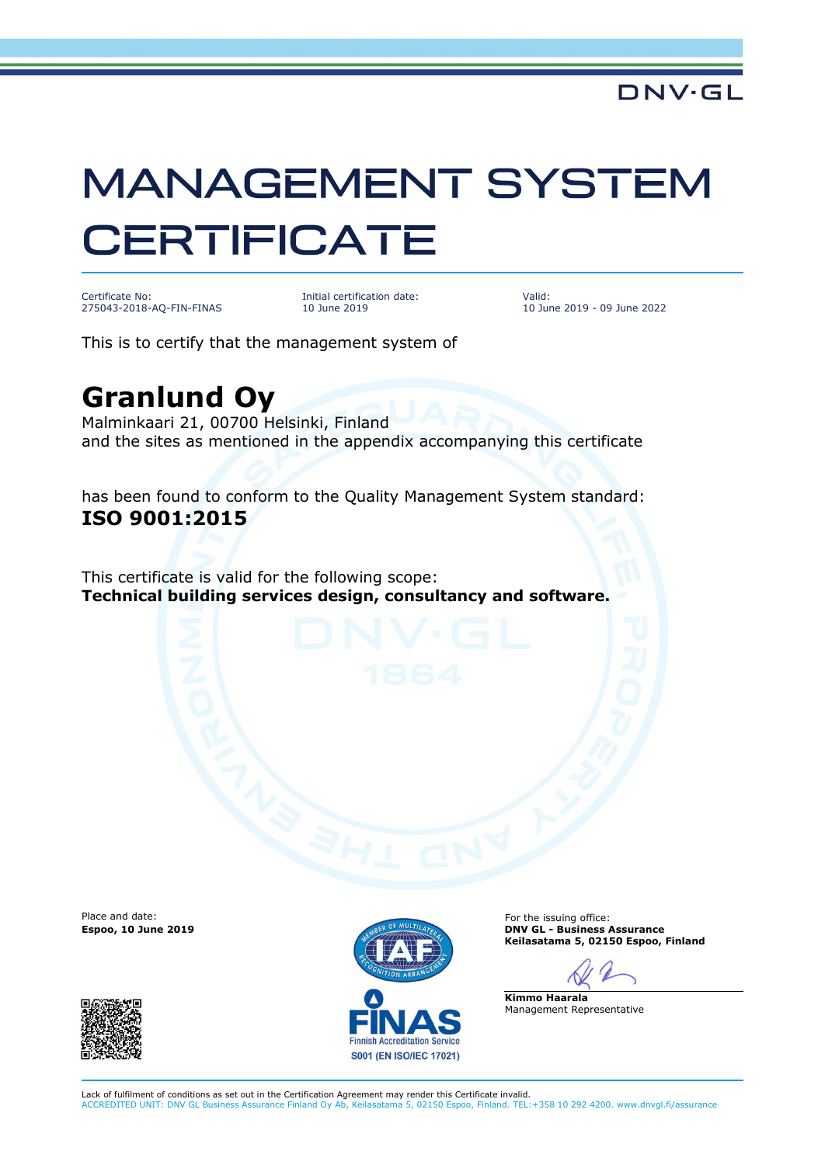## **MANAGEMENT SYSTEM CERTIFICATE**

Certificate No: 275043-2018-AQ-FIN-FINAS Initial certification date: 10 June 2019

Valid: 10 June 2019 - 09 June 2022

This is to certify that the management system of

## **Granlund Oy**

Malminkaari 21, 00700 Helsinki, Finland and the sites as mentioned in the appendix accompanying this certificate

has been found to conform to the Quality Management System standard: **ISO 9001:2015**

This certificate is valid for the following scope: **Technical building services design, consultancy and software.**

Place and date:





For the issuing office: **Espoo, 10 June 2019 DNV GL - Business Assurance Keilasatama 5, 02150 Espoo, Finland**

**Kimmo Haarala** Management Representative

Lack of fulfilment of conditions as set out in the Certification Agreement may render this Certificate invalid. ACCREDITED UNIT: DNV GL Business Assurance Finland Oy Ab, Keilasatama 5, 02150 Espoo, Finland. TEL:+358 10 292 4200. www.dnvgl.fi/assurance